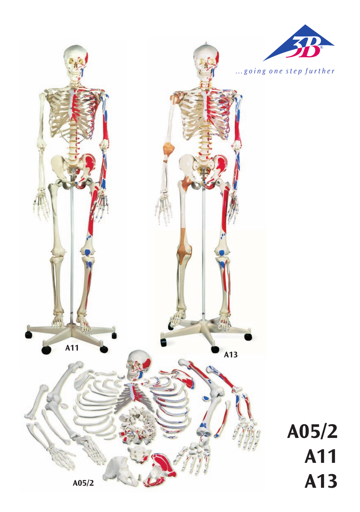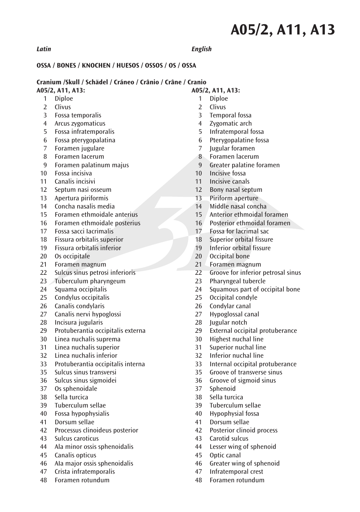### *Latin English*

### **OSSA / BONES / KNOCHEN / HUESOS / OSSOS / OS / OSSA**

### **Cranium /Skull / Schädel / Cráneo / Crânio / Crâne / Cranio**

- 1 Diploe
- 2 Clivus
- 3 Fossa temporalis
- 4 Arcus zygomaticus
- 5 Fossa infratemporalis
- 6 Fossa pterygopalatina
- 7 Foramen jugulare
- 8 Foramen Iacerum
- 9 Foramen palatinum majus
- 10 Fossa incisiva
- 11 Canalis incisivi
- 12 Septum nasi osseum
- 13 Apertura piriformis
- 14 Concha nasalis media
- 15 Foramen ethmoidale anterius
- 16 Foramen ethmoidale posterius<br>17 Fossa sacci Jacrimalis
- 17 Fossa sacci Iacrimalis
- 18 Fissura orbitalis superior
- 19 Fissura orbitalis inferior
- 20 Os occipitale
- 21 Foramen magnum
- 22 Sulcus sinus petrosi inferioris
- 23 Tuberculum pharyngeum<br>24 Squama occinitalis
- Squama occipitalis
- 25 Condylus occipitalis
- 26 Canalis condylaris
- 27 Canalis nervi hypoglossi
- 28 Incisura jugularis
- 29 Protuberantia occipitalis externa
- 30 Linea nuchalis suprema<br>31 Linea nuchalis superior
- 31 Linea nuchalis superior
- 32 Linea nuchalis inferior
- 33 Protuberantia occipitalis interna
- 35 Sulcus sinus transversi
- 36 Sulcus sinus sigmoidei
- $37$  Os sphenoidale
- 38 Sella turcica<br>39 Tuberculum
- 39 Tuberculum sellae
- 40 Fossa hypophysialis
- 41 Dorsum sellae
- 42 Processus clinoideus posterior
- 43 Sulcus caroticus
- 44 Ala minor ossis sphenoidalis
- 45 Canalis opticus
- 46 AIa major ossis sphenoidalis
- 47 Crista infratemporalis
- 48 Foramen rotundum
- **A05/2, A11, A13:**
	- 1 Diploe<br>2 Clivus 2 Clivus
	- 3 Temporal fossa
	-
	- 4 Zygomatic arch<br>5 Infratemporal fo 5 Infratemporal fossa
	- 6 Pterygopalatine fossa
	- 7 Jugular foramen
	- 8 Foramen lacerum<br>9 Greater palatine fo
	- Greater palatine foramen
- 10 Incisive fossa
- 11 Incisive canals
- 12 Bony nasal septum
- 13 Piriform aperture
- 14 Middle nasal concha
- 15 Anterior ethmoidal foramen
- 16 Posterior ethmoidal foramen<br>17 Fossa for lacrimal sac
- 17 Fossa for lacrimal sac
- ® 18 Superior orbital fissure
- 19 Inferior orbital fissure
- 20 Occipital bone
- 21 Foramen magnum
- 22 Groove for inferior petrosal sinus
- 23 Pharyngeal tubercle<br>24 Squamous part of oc
- Squamous part of occipital bone
- 25 Occipital condyle
- 26 Condylar canal
- 27 Hypoglossal canal
- 28 Jugular notch
- 29 External occipital protuberance<br>30 Highest nuchal line
- 30 Highest nuchal line<br>31 Superior nuchal line
- Superior nuchal line
- 32 Inferior nuchal line
- 33 Internal occipital protuberance
- 35 Groove of transverse sinus
- 36 Groove of sigmoid sinus
- 37 Sphenoid<br>38 Sella turci
- 38 Sella turcica<br>39 Tuberculum
- Tuberculum sellae
- 40 Hypophysial fossa
- 41 Dorsum sellae
- 42 Posterior clinoid process
- 43 Carotid sulcus
- 44 Lesser wing of sphenoid<br>45 Ontic canal
- Optic canal
- 46 Greater wing of sphenoid
- 47 Infratemporal crest
- 48 Foramen rotundum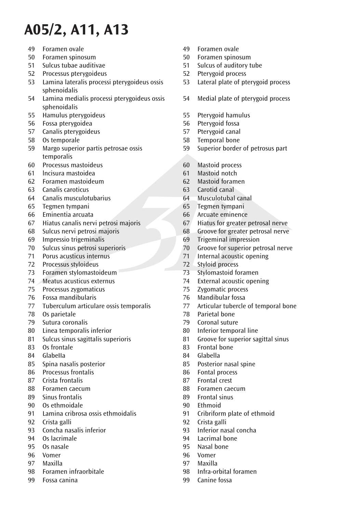- 49 Foramen ovale
- 50 Foramen spinosum
- 51 Sulcus tubae auditivae
- 52 Processus pterygoideus
- 53 Lamina lateralis processi pterygoideus ossis sphenoidalis
- 54 Lamina medialis processi pterygoideus ossis sphenoidalis
- 55 Hamulus pterygoideus
- 56 Fossa pterygoidea
- 57 Canalis pterygoideus
- 58 Os temporale
- 59 Margo superior partis petrosae ossis temporalis
- 60 Processus mastoideus
- 61 lncisura mastoidea
- 62 Foramen mastoideum
- 63 Canalis caroticus
- 64 Canalis musculotubarius
- 65 Tegmen tympani
- 66 Eminentia arcuata
- 67 Hiatus canalis nervi petrosi majoris
- 68 Sulcus nervi petrosi majoris
- 69 Impressio trigeminalis
- 70 Sulcus sinus petrosi superioris
- 71 Porus acusticus internus
- 72 Processus styloideus
- 73 Foramen stylomastoideum
- 74 Meatus acusticus externus
- 75 Processus zygomaticus
- 76 Fossa mandibularis
- 77 Tuberculum articulare ossis temporalis
- 78 Os parietale
- 79 Sutura coronalis
- 80 Linea temporalis inferior
- 81 Sulcus sinus sagittalis superioris
- 83 Os frontale
- 84 GlabeIIa
- 85 Spina nasalis posterior
- 86 Processus frontalis
- 87 Crista frontalis
- 88 Foramen caecum
- 89 Sinus frontalis
- 90 Os ethmoidale
- 91 Lamina cribrosa ossis ethmoidalis
- 92 Crista galli
- 93 Concha nasalis inferior
- 94 Os lacrimale
- 95 Os nasale
- 96 Vomer
- 97 Maxilla
- 98 Foramen infraorbitale
- 99 Fossa canina
- 49 Foramen ovale
- 50 Foramen spinosum
- 51 Sulcus of auditory tube
- 52 Pterygoid process
- 53 Lateral plate of pterygoid process
- 54 Medial plate of pterygoid process
- 55 Pterygoid hamulus
- 56 Pterygoid fossa
- 57 Pterygoid canal
- 58 Temporal bone
- 59 Superior border of petrosus part
- 60 Mastoid process
- 61 Mastoid notch
- 62 Mastoid foramen
- 63 Carotid canal
- 64 Musculotubal canal
- 65 Tegmen tympani
- 66 Arcuate eminence
- 67 Hiatus for greater petrosal nerve<br>68 Groove for greater petrosal nerve
- Groove for greater petrosal nerve
- ® 69 Trigeminal impression
- 70 Groove for superior petrosal nerve
- 71 Internal acoustic opening
- 72 Styloid process
- 73 Stylomastoid foramen<br>74 External acoustic open
- 74 External acoustic opening<br>75 Zygomatic process
- Zygomatic process
- 76 Mandibular fossa
- 77 Articular tubercle of temporal bone
- 78 Parietal bone
- 79 Coronal suture
- 80 Inferior temporal line
- 81 Groove for superior sagittal sinus<br>83 Frontal bone
- **Frontal bone**
- 84 Glabella
- 85 Posterior nasal spine
- 86 Fontal process
- 87 Frontal crest
- 88 Foramen caecum<br>89 Frontal sinus
- 89 Frontal sinus<br>90 Ethmoid
- **Ethmoid**
- 91 Cribriform plate of ethmoid
- 92 Crista galli
- 93 Inferior nasal concha
- 94 Lacrimal bone
- 95 Nasal bone
- 96 Vomer
- 97 Maxilla
- 98 Infra-orbital foramen 99 Canine fossa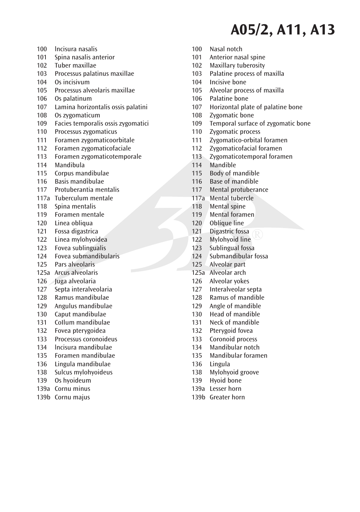100 lncisura nasalis 101 Spina nasalis anterior 102 Tuber maxillae<br>103 Processus palat Processus palatinus maxillae 104 Os incisivum 105 Processus alveolaris maxillae 106 Os palatinum<br>107 - Lamina horizo Lamina horizontalis ossis palatini 108 Os zygomaticum 109 Facies temporalis ossis zygomatici 110 Processus zygomaticus 111 Foramen zygomaticoorbitale 112 Foramen zygomaticofaciale 113 Foramen zygomaticotemporale<br>114 Mandibula Mandibula 115 Corpus mandibulae 116 Basis mandibulae 117 Protuberantia mentalis 117a Tuberculum mentale 118 Spina mentalis 119 Foramen mentale 120 Linea obliqua<br>121 Eossa digastric Fossa digastrica 122 Linea mylohyoidea<br>123 Eovea sublingualis Fovea sublingualis 124 Fovea submandibularis 125 Pars alveolaris 125a Arcus alveolaris 126 Juga alveolaria<br>127 Senta interalver Septa interalveolaria 128 Ramus mandibulae 129 Angulus mandibulae 130 Caput mandibulae 131 CoIlum mandibulae 132 Fovea pterygoidea<br>133 Processus coronoid 133 Processus coronoideus<br>134 Incisura mandibulae 134 lncisura mandibulae 135 Foramen mandibulae 136 Lingula mandibulae 138 Sulcus mylohyoideus 139 Os hyoideum 139a Cornu minus 139b Cornu majus

- 100 Nasal notch
- 101 Anterior nasal spine
- 102 Maxillary tuberosity<br>103 Palatine process of r
- Palatine process of maxilla
- 104 Incisive bone
- 105 Alveolar process of maxilla
- 106 Palatine bone<br>107 Horizontal pla
- 107 Horizontal plate of palatine bone
- 108 Zygomatic bone
- 109 Temporal surface of zygomatic bone
- 110 Zygomatic process
- 111 Zygomatico-orbital foramen
- 112 Zygomaticofacial foramen
- 113 Zygomaticotemporal foramen<br>114 Mandible
- Mandible
- 115 Body of mandible
- 116 Base of mandible
- 117 Mental protuberance
- 117a Mental tubercle
- 118 Mental spine
- 119 Mental foramen<br>120 Oblique line
- 120 Oblique line<br>121 Digastric foss
- Digastric fossa
- 122 Mylohyoid line
- 123 Sublingual fossa
- 124 Submandibular fossa
- 125 Alveolar part
- 125a Alveolar arch
- 126 Alveolar yokes<br>127 Interalveolar su
- Interalveolar septa
- 128 Ramus of mandible
- 129 Angle of mandible
- 130 Head of mandible
- 131 Neck of mandible
- 132 Pterygoid fovea<br>133 Coronoid proces
- 133 Coronoid process<br>134 Mandibular notch
- Mandibular notch
- 135 Mandibular foramen
- 136 Lingula
- 138 Mylohyoid groove
- 139 Hyoid bone
- 139a Lesser horn
- 139b Greater horn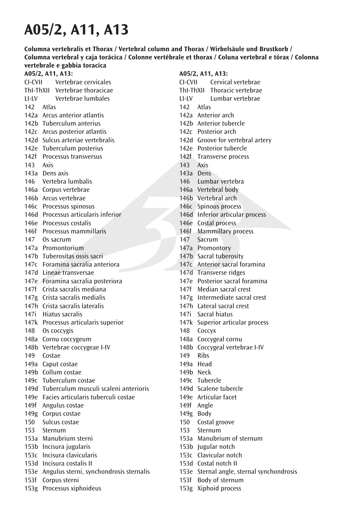**Columna vertebralis et Thorax / Vertebral column and Thorax / Wirbelsäule und Brustkorb / Columna vertebral y caja torácica / Colonne vertébrale et thorax / Coluna vertebral e tórax / Colonna vertebrale e gabbia toracica**

### **A05/2, A11, A13:**

CI-CVII Vertebrae cervicales ThI-ThXII Vertebrae thoracicae LI-LV Vertebrae lumbales  $142$  Atlac 142a Arcus anterior atlantis 142b Tuberculum anterius 142c Arcus posterior atlantis 142d Sulcus arteriae vertebralis 142e Tuberculum posterius 142f Processus transversus 143 Axis 143a Dens axis 146 Vertebra lumbalis 146a Corpus vertebrae 146b Arcus vertebrae 146c Processus spinosus 146d Processus articularis inferior 146e Processus costalis 146f Processus mammillaris 147 Os sacrum 147a Promontorium 147b Tuberositas ossis sacri 147c Foramina sacralia anteriora 147d Lineae transversae 147e Foramina sacralia posteriora 147f Crista sacralis mediana 147g Crista sacralis medialis 147h Crista sacralis lateralis 147i Hiatus sacralis 147k Processus articularis superior 148 Os coccygis 148a Cornu coccygeum 148b Vertebrae coccygeae I-IV 149 Costae 149a Caput costae 149b Collum costae 149c Tuberculum costae 149d Tuberculum musculi scaleni anterioris 149e Facies articularis tuberculi costae 149f Angulus costae 149g Corpus costae 150 Sulcus costae 153 Sternum 153a Manubrium sterni 153b lncisura jugularis 153c lncisura clavicularis 153d Incisura costalis II 153e Angulus sterni, synchondrosis sternalis 153f Corpus sterni 153g Processus xiphoideus

- CI-CVII Cervical vertebrae ThI-ThXII Thoracic vertebrae LI-LV Lumbar vertebrae
- 142 Atlas
- 142a Anterior arch
- 142b Anterior tubercle
- 142c Posterior arch
- 142d Groove for vertebral artery
- 142e Posterior tubercle
- 142f Transverse process
- 143 Axis
- 143a Dens
- 146 Lumbar vertebra
- 146a Vertebral body
- 146b Vertebral arch
- 146c Spinous process
- 146d Inferior articular process
- 146e Costal process
- ® 146f Mammillary process
- 147 Sacrum
- 147a Promontory
- 147b Sacral tuberosity
- 147c Anterior sacral foramina
- 147d Transverse ridges
- 147e Posterior sacral foramina
- 147f Median sacral crest
- 147g Intermediate sacral crest
- 147h Lateral sacral crest
- 147i Sacral hiatus
- 147k Superior articular process
- 148 Coccyx
- 148a Coccygeal cornu
- 148b Coccygeal vertebrae I-IV
- 149 Ribs
- 149a Head
- 149b Neck
- 149c Tubercle
- 149d Scalene tubercle
- 149e Articular facet
- 149f Angle
- 149g Body
- 150 Costal groove
- 153 Sternum
- 153a Manubrium of sternum
- 153b Jugular notch
- 153c Clavicular notch
- 153d Costal notch II
- 153e Sternal angle, sternal synchondrosis
- 153f Body of sternum
- 153g Xiphoid process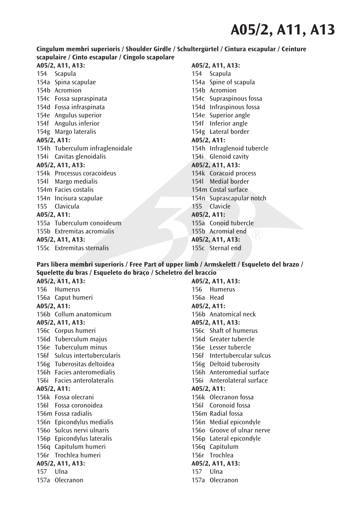### **Cingulum membri superioris / Shoulder Girdle / Schultergürtel / Cintura escapular / Ceinture scapulaire / Cinto escapular / Cingolo scapolare**

**A05/2, A11, A13:** 154 Scapula 154a Spina scapulae 154b Acromion 154c Fossa supraspinata 154d Fossa infraspinata 154e Angulus superior 154f Angulus inferior 154g Margo lateralis **A05/2, A11:** 154h Tuberculum infraglenoidale 154i Cavitas glenoidalis **A05/2, A11, A13:** 154k Processus coracoideus 154l Margo medialis 154m Facies costalis 154n Incisura scapulae 155 Clavicula **A05/2, A11:** 155a Tuberculum conoideum 155b Extremitas acromialis **A05/2, A11, A13:** 155c Extremitas sternalis

### **A05/2, A11, A13:**

154 Scapula 154a Spine of scapula 154b Acromion 154c Supraspinous fossa 154d Infraspinous fossa 154e Superior angle 154f Inferior angle 154g Lateral border **A05/2, A11:** 154h Infraglenoid tubercle 154i Glenoid cavity **A05/2, A11, A13:** 154k Coracoid process 154l Medial border 154m Costal surface 154n Suprascapular notch 155 Clavicle **A05/2, A11:** 155a Conoid tubercle 155b Acromial end **A05/2, A11, A13:** 155c Sternal end

#### **Pars libera membri superioris / Free Part of upper limb / Armskelett / Esqueleto del brazo / Squelette du bras / Esqueleto do braço / Scheletro del braccio**

**A05/2, A11, A13:** 156 Humerus 156a Caput humeri **A05/2, A11:** 156b Collum anatomicum **A05/2, A11, A13:** 156c Corpus humeri 156d Tuberculum majus 156e Tuberculum minus 156f Sulcus intertubercularis 156g Tuberositas deltoidea 156h Facies anteromedialis 156i Facies anterolateralis **A05/2, A11:** 156k Fossa olecrani 156l Fossa coronoidea 156m Fossa radialis 156n Epicondylus medialis 156o Sulcus nervi ulnaris 156p Epicondylus lateralis 156q Capitulum humeri 156r Trochlea humeri **A05/2, A11, A13:** 157 Ulna 157a Olecranon

**A05/2, A11, A13:** 156 Humerus 156a Head **A05/2, A11:** 156b Anatomical neck **A05/2, A11, A13:** 156c Shaft of humerus 156d Greater tubercle 156e Lesser tubercle 156f Intertubercular sulcus 156g Deltoid tuberosity 156h Anteromedial surface 156i Anterolateral surface **A05/2, A11:** 156k Olecranon fossa 156l Coronoid fossa 156m Radial fossa 156n Medial epicondyle 156o Groove of ulnar nerve 156p Lateral epicondyle 156q Capitulum 156r Trochlea **A05/2, A11, A13:** 157 Ulna 157a Olecranon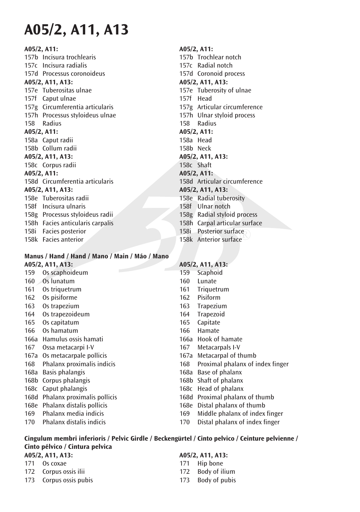### **A05/2, A11:**

157b Incisura trochlearis 157c Incisura radialis 157d Processus coronoideus **A05/2, A11, A13:** 157e Tuberositas ulnae 157f Caput ulnae 157g Circumferentia articularis 157h Processus styloideus ulnae 158 Radius **A05/2, A11:** 158a Caput radii 158b Collum radii **A05/2, A11, A13:** 158c Corpus radii **A05/2, A11:** 158d Circumferentia articularis **A05/2, A11, A13:** 158e Tuberositas radii 158f Incisura ulnaris 158g Processus styloideus radii 158h Facies anticularis carpalis 158i Facies posterior 158k Facies anterior

### **Manus / Hand / Hand / Mano / Main / Máo / Mano A05/2, A11, A13:**

 169 Phalanx media indicis 170 Phalanx distalis indicis

### **A05/2, A11:**

158i Posterior surface<br>158k Anterior surface 157b Trochlear notch 157c Radial notch 157d Coronoid process **A05/2, A11, A13:** 157e Tuberosity of ulnae 157f Head 157g Articular circumference 157h Ulnar styloid process 158 Radius **A05/2, A11:** 158a Head 158b Neck **A05/2, A11, A13:** 158c Shaft **A05/2, A11:** 158d Articular circumference **A05/2, A11, A13:** 158e Radial tuberosity 158f Ulnar notch 158g Radial styloid process 158h Carpal articular surface 158k Anterior surface

#### 159 Os scaphoideum 160 Os lunatum 161 Os triquetrum 162 Os pisiforme 163 Os trapezium 164 Os trapezoideum 165 Os capitatum 166 Os hamatum 166a Hamulus ossis hamati 167 Ossa metacarpi I-V 167a Os metacarpale pollicis 168 Phalanx proximalis indicis 168a Basis phalangis 168b Corpus phalangis 168c Caput phalangis 168d Phalanx proximalis pollicis 168e Phalanx distalis pollicis **A05/2, A11, A13:** 159 Scaphoid 160 Lunate<br>161 Triquet **Triquetrum**  162 Pisiform 163 Trapezium 164 Trapezoid 165 Capitate 166 Hamate 166a Hook of hamate<br>167 Metacarpals I-V Metacarpals I-V 167a Metacarpal of thumb 168 Proximal phalanx of index finger 168a Base of phalanx 168b Shaft of phalanx 168c Head of phalanx 168d Proximal phalanx of thumb 168e Distal phalanx of thumb

- 169 Middle phalanx of index finger
- 170 Distal phalanx of index finger

### **Cingulum membri inferioris / Pelvic Girdle / Beckengürtel / Cinto pelvico / Ceinture pelvienne / Cinto pélvico / Cintura pelvica**

**A05/2, A11, A13:** 171 Os coxae 172 Corpus ossis ilii 173 Corpus ossis pubis **A05/2, A11, A13:** 171 Hip bone 172 Body of ilium 173 Body of pubis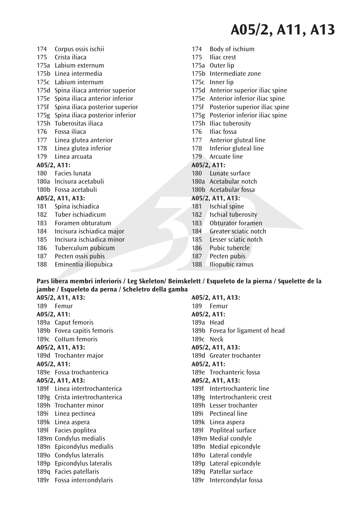- 174 Corpus ossis ischii
- 175 Crista iliaca
- 175a Labium externum
- 175b Linea intermedia
- 175c Labium internum
- 175d Spina iliaca anterior superior
- 175e Spina iliaca anterior inferior
- 175f Spina iliaca posterior superior
- 175g Spina iliaca posterior inferior
- 175h Tuberositas iliaca
- 176 Fossa iliaca
- 177 Linea glutea anterior
- 178 Linea glutea inferior
- 179 Linea arcuata

### **A05/2, A11:**

- 180 Facies lunata
- 180a lncisura acetabuli
- 180b Fossa acetabuli

#### **A05/2, A11, A13:**

- 181 Spina ischiadica
- 182 Tuber ischiadicum
- 183 Foramen obturatum
- 184 Incisura ischiadica major
- 185 Incisura ischiadica minor
- 186 Tuberculum pubicum
- 187 Pecten ossis pubis
- 188 Eminentia iliopubica
- 174 Body of ischium
- 175 Iliac crest
- 175a Outer lip
- 175b Intermediate zone
- 175c Inner lip
- 175d Anterior superior iliac spine
- 175e Anterior inferior iliac spine
- 175f Posterior superior iliac spine
- 175g Posterior inferior iliac spine
- 175h Iliac tuberosity
- 176 Iliac fossa
- 177 Anterior gluteal line
- 178 Inferior gluteal line
- 179 Arcuate line

### **A05/2, A11:**

- 180 Lunate surface
- 180a Acetabular notch
- 180b Acetabular fossa

#### **A05/2, A11, A13:**

- 181 Ischial spine
- 182 Ischial tuberosity
- 183 Obturator foramen<br>184 Greater sciatic note
- Greater sciatic notch
- 184 Greater sciatic notc<br>185 Lesser sciatic notch
- 186 Pubic tubercle
- 187 Pecten pubis
- 188 Iliopubic ramus

### **Pars libera membri inferioris / Leg Skeleton/ Beinskelett / Esqueleto de la pierna / Squelette de la jambe / Esqueleto da perna / Scheletro della gamba**

**A05/2, A11, A13:** 189 Femur **A05/2, A11:** 189a Caput femoris 189b Fovea capitis femoris 189c CoIIum femoris **A05/2, A11, A13:** 189d Trochanter major **A05/2, A11:** 189e Fossa trochanterica **A05/2, A11, A13:** 189f Linea intertrochanterica 189g Crista intertrochanterica 189h Trochanter minor 189i Linea pectinea 189k Linea aspera 189l Facies poplitea 189m Condylus medialis 189n Epicondylus medialis 189o Condylus lateralis 189p Epicondylus lateralis 189q Facies patellaris 189r Fossa intercondylaris

**A05/2, A11, A13:** 189 Femur **A05/2, A11:** 189a Head 189b Fovea for ligament of head 189c Neck **A05/2, A11, A13:** 189d Greater trochanter **A05/2, A11:** 189e Trochanteric fossa **A05/2, A11, A13:** 189f Intertrochanteric line 189g Intertrochanteric crest 189h Lesser trochanter 189i Pectineal line 189k Linea aspera 189l Popliteal surface 189m Medial condyle 189n Medial epicondyle 189o Lateral condyle 189p Lateral epicondyle 189q Patellar surface

189r Intercondylar fossa

- 
- 
- 

- 
- 
- 
-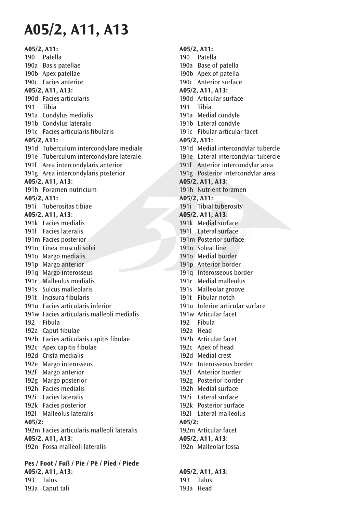### **A05/2, A11:** 190 Patella 190a Basis patellae 190b Apex patellae 190c Facies anterior **A05/2, A11, A13:** 190d Facies articularis 191 Tibia 191a Condylus medialis 191b Condylus lateralis 191c Facies articularis fibularis **A05/2, A11:** 191d Tuberculum intercondylare mediale 191e Tuberculum intercondylare laterale 191f Area intercondylaris anterior 191g Area intercondylaris posterior **A05/2, A11, A13:** 191h Foramen nutricium **A05/2, A11:** 191i Tuberositas tibiae **A05/2, A11, A13:** 191k Facies medialis 191l Facies lateralis 191m Facies posterior 191n Linea musculi solei 191o Margo medialis 191p Margo anterior 191q Margo interosseus 191r Malleolus medialis 191s Sulcus malleolaris 191t lncisura fibularis 191u Facies articularis inferior 191w Facies articularis malleoli medialis 192 Fibula 192a Caput fibulae 192b Facies articularis capitis fibulae 192c Apex capitis fibulae 192d Crista medialis 192e Margo interosseus 192f Margo anterior 192g Margo posterior 192h Facies medialis 192i Facies lateralis 192k Facies posterior 192l Malleolus lateralis **A05/2:** 192m Facies articularis malleoli lateralis **A05/2, A11, A13:** 192n Fossa malleoli lateralis

**Pes / Foot / Fuß / Pie / Pé / Pied / Piede A05/2, A11, A13:** 193 Talus 193a Caput tali

### **A05/2, A11:**

- 190 Patella
- 190a Base of patella
- 190b Apex of patella
- 190c Anterior surface

#### **A05/2, A11, A13:**

- 190d Articular surface
- 191 Tibia
- 191a Medial condyle
- 191b Lateral condyle
- 191c Fibular articular facet

#### **A05/2, A11:**

- 191d Medial intercondylar tubercle
- 191e Lateral intercondylar tubercle
	- 191f Anterior intercondylar area
- 191g Posterior intercondylar area

### **A05/2, A11, A13:**

191h Nutrient foramen

### **A05/2, A11:**

- 191i Tibial tuberosity
- **A05/2, A11, A13:**
- 191k Medial surface
- 191l Lateral surface
- 1911 Lateral surface<br>191m Posterior surface
- 191n Soleal line
- 191o Medial border
- 191p Anterior border
- 191q Interosseous border
- 191r Medial malleolus
- 191s Malleolar groove
- 191t Fibular notch
- 191u Inferior articular surface
- 191w Articular facet
- 192 Fibula
- 192a Head
- 192b Articular facet
- 192c Apex of head
- 192d Medial crest
- 192e Interosseous border
- 192f Anterior border
- 192g Posterior border
- 192h Medial surface
- 192i Lateral surface
- 192k Posterior surface
- 192l Lateral malleolus

#### **A05/2:**

- 192m Articular facet
- **A05/2, A11, A13:**
- 192n Malleolar fossa

### **A05/2, A11, A13:**

 193 Talus 193a Head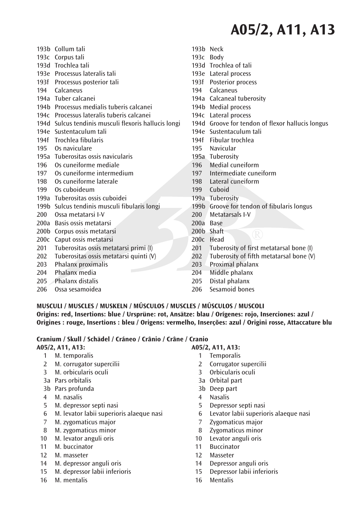- 193b Collum tali 193c Corpus tali 193d Trochlea tali 193e Processus lateralis tali 193f Processus posterior tali 194 Calcaneus 194a Tuber calcanei 194b Processus medialis tuberis calcanei 194c Processus lateralis tuberis calcanei 194d Sulcus tendinis musculi flexoris hallucis longi 194e Sustentaculum tali 194f Trochlea fibularis 195 Os naviculare 195a Tuberositas ossis navicularis 196 Os cuneiforme mediale 197 Os cuneiforme intermedium 198 Os cuneiforme laterale 199 Os cuboideum 199a Tuberositas ossis cuboidei 199b Sulcus tendinis musculi fibularis longi 200 Ossa metatarsi I-V 200a Basis ossis metatarsi 200b Corpus ossis metatarsi 200c Caput ossis metatarsi 201 Tuberositas ossis metatarsi primi (I) 202 Tuberositas ossis metatarsi quinti (V) 203 Phalanx proximalis 204 Phalanx media 205 Phalanx distalis
- 206 Ossa sesamoidea
- 193b Neck
- 193c Body
- 193d Trochlea of tali
- 193e Lateral process
- 193f Posterior process
- 194 Calcaneus
- 194a Calcaneal tuberosity
- 194b Medial process
- 194c Lateral process
- 194d Groove for tendon of flexor hallucis longus
- 194e Sustentaculum tali
- 194f Fibular trochlea
- 195 Navicular
- 195a Tuberosity
- 196 Medial cuneiform
- 197 Intermediate cuneiform
- 198 Lateral cuneiform
- 199 Cuboid
- 199a Tuberosity
- 199b Groove for tendon of fibularis longus
- 200 Metatarsals I-V
- 200a Base
- 200b Shaft
- 200c Head
- 201 Tuberosity of first metatarsal bone (I)
- 202 Tuberosity of fifth metatarsal bone (V)
- 203 Proximal phalanx
- 204 Middle phalanx
- 205 Distal phalanx<br>206 Sesamoid bone
- Sesamoid bones

### **MUSCULI / MUSCLES / MUSKELN / MÚSCULOS / MUSCLES / MÚSCULOS / MUSCOLI Origins: red, Insertions: blue / Ursprüne: rot, Ansätze: blau / Orígenes: rojo, Inserciones: azul / Origines : rouge, Insertions : bleu / Origens: vermelho, Inserções: azul / Origini rosse, Attaccature blu**

### **Cranium / Skull / Schädel / Cráneo / Crânio / Crâne / Cranio**

### **A05/2, A11, A13:**

- 1 M. temporalis
- 2 M. corrugator supercilii
- 3 M. orbicularis oculi
- 3a Pars orbitalis
- 3b Pars profunda
- 4 M. nasalis
- 5 M. depressor septi nasi
- 6 M. levator labii superioris alaeque nasi
- 7 M. zygomaticus major
- 8 M. zygomaticus minor
- 10 M. levator anguli oris
- 11 M. buccinator
- 12 M. masseter
- 14 M. depressor anguli oris
- 15 M. depressor labii inferioris
- 16 M. mentalis

- 1 Temporalis
- 2 Corrugator supercilii
- 3 Orbicularis oculi
- 3a Orbital part
- 3b Deep part
- 4 Nasalis<br>5 Denress
- 5 Depressor septi nasi
- 6 Levator labii superioris alaeque nasi
- 7 Zygomaticus major
- 8 Zygomaticus minor
- 10 Levator anguli oris
- 11 Buccinator
- 12 Masseter
- 14 Depressor anguli oris
- 15 Depressor labii inferioris
- 16 Mentalis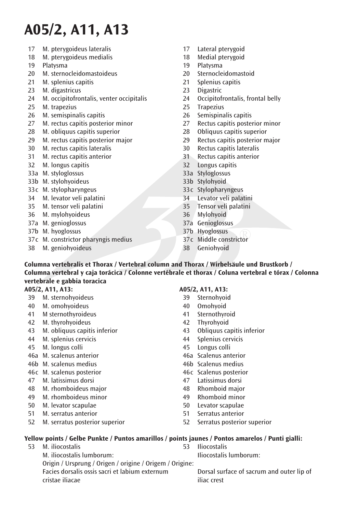- 17 M. pterygoideus lateralis
- 18 M. pterygoideus medialis
- 19 Platysma
- 20 M. sternocleidomastoideus
- 21 M. splenius capitis
- 23 M. digastricus
- 24 M. occipitofrontalis, venter occipitalis
- 25 M. trapezius
- 26 M. semispinalis capitis
- 27 M. rectus capitis posterior minor
- 28 M. obliquus capitis superior
- 29 M. rectus capitis posterior major
- 30 M. rectus capitis lateralis
- 31 M. rectus capitis anterior
- 32 M. longus capitis
- 33a M. styloglossus
- 33b M. stylohyoideus
- 33 c M. stylopharyngeus
- 34 M. levator veli palatini
- 35 M. tensor veli palatini
- 36 M. mylohyoideus
- 37a M. genioglossus
- 37b M. hyoglossus
- 37c M. constrictor pharyngis medius
- 38 M. geniohyoideus
- 17 Lateral pterygoid
- 18 Medial pterygoid
- 19 Platysma
- 20 Sternocleidomastoid
- 21 Splenius capitis<br>23 Digastric
- Digastric
- 24 Occipitofrontalis, frontal belly<br>25 Tranezius
- **Trapezius**
- 26 Semispinalis capitis
- 27 Rectus capitis posterior minor<br>28 Obliquus capitis superior
- Obliquus capitis superior
- 29 Rectus capitis posterior major
- 30 Rectus capitis lateralis
- 31 Rectus capitis anterior
- 32 Longus capitis
- 33a Styloglossus
- 33b Stylohyoid
- 33 c Stylopharyngeus
- 34 Levator veli palatini
- 35 Tensor veli palatini
- 36 Mylohyoid
- 37a Genioglossus
- 37b Hyoglossus
- 37b Hyoglossus<br>37c Middle constrictor
- 38 Geniohyoid
- **Columna vertebralis et Thorax / Vertebral column and Thorax / Wirbelsäule und Brustkorb / Columna vertebral y caja torácica / Colonne vertébrale et thorax / Coluna vertebral e tórax / Colonna vertebrale e gabbia toracica**

### **A05/2, A11, A13:**

- 39 M. sternohyoideus
- 40 M. omohyoideus
- 41 M sternothyroideus
- 42 M. thyrohyoideus
- 43 M. obliquus capitis inferior
- 44 M. splenius cervicis
- 45 M. longus colli
- 46a M. scalenus anterior
- 46b M. scalenus medius
- 46c M. scalenus posterior
- 47 M. latissimus dorsi
- 48 M. rhomboideus major
- 49 M. rhomboideus minor
- 50 M. levator scapulae
- 51 M. serratus anterior
- 52 M. serratus posterior superior

#### **A05/2, A11, A13:**

- 39 Sternohyoid
- 40 Omohyoid
- 41 Sternothyroid
- 42 Thyrohyoid
- 43 Obliquus capitis inferior<br>44 Splenius cervicis
- 44 Splenius cervicis<br>45 Longus colli
- 45 Longus colli
- 46a Scalenus anterior
- 46h Scalenus medius
- 46c Scalenus posterior
- 47 Latissimus dorsi
- 
- 
- 50 Levator scapulae
- 51 Serratus anterior
- 52 Serratus posterior superior

### **Yellow points / Gelbe Punkte / Puntos amarillos / points jaunes / Pontos amarelos / Punti gialli:**

- 53 M. iliocostalis M. iliocostalis lumborum: Origin / Ursprung / Origen / origine / Origem / Origine: Facies dorsalis ossis sacri et labium externum cristae iliacae
- **Iliocostalis** Iliocostalis lumborum:

 Dorsal surface of sacrum and outer lip of iliac crest

- 48 Rhomboid major<br>49 Rhomboid minor Rhomboid minor
	-
	-
- -
	-
	-
	-
	-
	-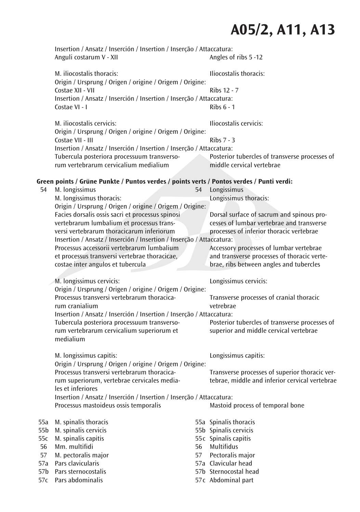|                                                                                           | Insertion / Ansatz / Inserción / Insertion / Inserção / Attaccatura:<br>Anguli costarum V - XII                                                                                                    | Angles of ribs 5 -12                                  |                                                                             |  |  |
|-------------------------------------------------------------------------------------------|----------------------------------------------------------------------------------------------------------------------------------------------------------------------------------------------------|-------------------------------------------------------|-----------------------------------------------------------------------------|--|--|
|                                                                                           | M. iliocostalis thoracis:<br>Origin / Ursprung / Origen / origine / Origem / Origine:<br>Costae XII - VII<br>Insertion / Ansatz / Inserción / Insertion / Inserção / Attaccatura:<br>Costae VI - I |                                                       | <b>Iliocostalis thoracis:</b><br>Ribs 12 - 7                                |  |  |
|                                                                                           |                                                                                                                                                                                                    |                                                       | Ribs $6 - 1$                                                                |  |  |
|                                                                                           | M. iliocostalis cervicis:<br>Origin / Ursprung / Origen / origine / Origem / Origine:                                                                                                              |                                                       | Iliocostalis cervicis:                                                      |  |  |
|                                                                                           | Costae VII - III<br>Insertion / Ansatz / Inserción / Insertion / Inserção / Attaccatura:                                                                                                           | Ribs 7 - 3                                            |                                                                             |  |  |
|                                                                                           | Tubercula posteriora processuum transverso-<br>rum vertebrarum cervicalium medialium                                                                                                               |                                                       | Posterior tubercles of transverse processes of<br>middle cervical vertebrae |  |  |
| Green points / Grüne Punkte / Puntos verdes / points verts / Pontos verdes / Punti verdi: |                                                                                                                                                                                                    |                                                       |                                                                             |  |  |
| 54                                                                                        | M. longissimus                                                                                                                                                                                     | 54                                                    | Longissimus                                                                 |  |  |
|                                                                                           | M. longissimus thoracis:<br>Origin / Ursprung / Origen / origine / Origem / Origine:                                                                                                               | Longissimus thoracis:                                 |                                                                             |  |  |
|                                                                                           | Facies dorsalis ossis sacri et processus spinosi                                                                                                                                                   |                                                       | Dorsal surface of sacrum and spinous pro-                                   |  |  |
|                                                                                           | vertebrarum lumbalium et processus trans-                                                                                                                                                          | cesses of lumbar vertebrae and transverse             |                                                                             |  |  |
|                                                                                           | versi vertebrarum thoracicarum inferiorum<br>Insertion / Ansatz / Inserción / Insertion / Inserção / Attaccatura:                                                                                  | processes of inferior thoracic vertebrae              |                                                                             |  |  |
|                                                                                           | Processus accessorii vertebrarum lumbalium                                                                                                                                                         |                                                       | Accessory processes of lumbar vertebrae                                     |  |  |
|                                                                                           | et processus transversi vertebrae thoracicae,                                                                                                                                                      |                                                       | and transverse processes of thoracic verte-                                 |  |  |
|                                                                                           | costae inter angulos et tubercula                                                                                                                                                                  |                                                       | brae, ribs between angles and tubercles                                     |  |  |
|                                                                                           | M. longissimus cervicis:                                                                                                                                                                           |                                                       | Longissimus cervicis:                                                       |  |  |
|                                                                                           | Origin / Ursprung / Origen / origine / Origem / Origine:                                                                                                                                           |                                                       |                                                                             |  |  |
|                                                                                           | Processus transversi vertebrarum thoracica-<br>rum cranialium                                                                                                                                      | Transverse processes of cranial thoracic<br>vetrebrae |                                                                             |  |  |
|                                                                                           | Insertion / Ansatz / Inserción / Insertion / Inserção / Attaccatura:                                                                                                                               |                                                       |                                                                             |  |  |
|                                                                                           | Tubercula posteriora processuum transverso-                                                                                                                                                        |                                                       | Posterior tubercles of transverse processes of                              |  |  |
|                                                                                           | rum vertebrarum cervicalium superiorum et<br>medialium                                                                                                                                             |                                                       | superior and middle cervical vertebrae                                      |  |  |
|                                                                                           |                                                                                                                                                                                                    |                                                       |                                                                             |  |  |
|                                                                                           | M. longissimus capitis:<br>Origin / Ursprung / Origen / origine / Origem / Origine:<br>Processus transversi vertebrarum thoracica-<br>rum superiorum, vertebrae cervicales media-                  |                                                       | Longissimus capitis:                                                        |  |  |
|                                                                                           |                                                                                                                                                                                                    |                                                       | Transverse processes of superior thoracic ver-                              |  |  |
|                                                                                           |                                                                                                                                                                                                    |                                                       | tebrae, middle and inferior cervical vertebrae                              |  |  |
|                                                                                           | les et inferiores                                                                                                                                                                                  |                                                       |                                                                             |  |  |
|                                                                                           | Insertion / Ansatz / Inserción / Insertion / Inserção / Attaccatura:<br>Processus mastoideus ossis temporalis                                                                                      |                                                       | Mastoid process of temporal bone                                            |  |  |
|                                                                                           |                                                                                                                                                                                                    |                                                       |                                                                             |  |  |
| 55a                                                                                       | M. spinalis thoracis                                                                                                                                                                               |                                                       | 55a Spinalis thoracis                                                       |  |  |
| 55b<br>55с                                                                                | M. spinalis cervicis<br>M. spinalis capitis                                                                                                                                                        |                                                       | 55b Spinalis cervicis<br>55c Spinalis capitis                               |  |  |
| 56                                                                                        | Mm. multifidi                                                                                                                                                                                      | 56                                                    | Multifidus                                                                  |  |  |
| 57                                                                                        | M. pectoralis major                                                                                                                                                                                | 57                                                    | Pectoralis major                                                            |  |  |
| 57a                                                                                       | Pars clavicularis                                                                                                                                                                                  |                                                       | 57a Clavicular head                                                         |  |  |
| 57c                                                                                       | 57b Pars sternocostalis<br>Pars abdominalis                                                                                                                                                        |                                                       | 57b Sternocostal head<br>57c Abdominal part                                 |  |  |
|                                                                                           |                                                                                                                                                                                                    |                                                       |                                                                             |  |  |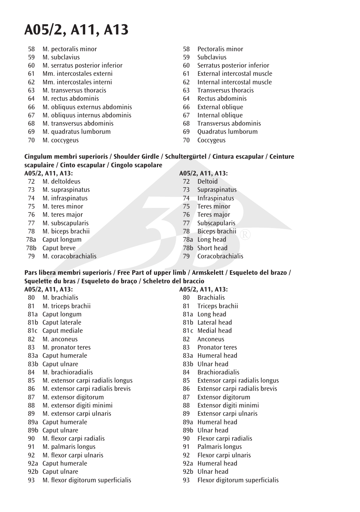- 58 M. pectoralis minor
- 59 M. subclavius
- 60 M. serratus posterior inferior
- 61 Mm. intercostales externi
- 62 Mm. intercostales interni
- 63 M. transversus thoracis
- 64 M. rectus abdominis
- 66 M. obliquus externus abdominis
- 67 M. obliquus internus abdominis
- 68 M. transversus abdominis
- 69 M. quadratus lumborum
- 70 M. coccygeus
- 58 Pectoralis minor
- 59 Subclavius
- 60 Serratus posterior inferior
- 61 External intercostal muscle
- 62 Internal intercostal muscle
- 63 Transversus thoracis
- 64 Rectus abdominis
- 66 External oblique
- 67 Internal oblique
- 68 Transversus abdominis
- 69 Quadratus lumborum
- 70 Coccygeus

### **Cingulum membri superioris / Shoulder Girdle / Schultergürtel / Cintura escapular / Ceinture scapulaire / Cinto escapular / Cingolo scapolare**

### **A05/2, A11, A13:**

- 72 M. deltoldeus
- 73 M. supraspinatus
- 74 M. infraspinatus
- 75 M. teres minor
- 76 M. teres major
- 77 M. subscapularis
- 78 M. biceps brachii
- 78a Caput longum
- 78b Caput breve
- 79 M. coracobrachialis

### **A05/2, A11, A13:**

- 72 Deltoid
- 73 Supraspinatus
- 74 Infraspinatus
- 75 Teres minor
- 76 Teres major
- 77 Subscapularis<br>78 Bicens brachii
- Biceps brachii
- 78a Long head
- 78h Short head
- 79 Coracobrachialis

### **Pars libera membri superioris / Free Part of upper limb / Armskelett / Esqueleto del brazo / Squelette du bras / Esqueleto do braço / Scheletro del braccio**

### **A05/2, A11, A13:**

- 80 M. brachialis
- 81 M. triceps brachii
- 81a Caput longum
- 81b Caput laterale
- 81c Caput mediale
- 82 M. anconeus<br>83 M. pronator i
- M. pronator teres
- 83a Caput humerale
- 83b Caput ulnare
- 84 M. brachioradialis
- 85 M. extensor carpi radialis longus
- 86 M. extensor carpi radialis brevis
- 87 M. extensor digitorum<br>88 M extensor digiti mini
- 88 M. extensor digiti minimi
- 89 M. extensor carpi ulnaris
- 89a Caput humerale
- 89b Caput ulnare
- 90 M. flexor carpi radialis
- 91 M. palmaris longus
- 92 M. flexor carpi ulnaris
- 92a Caput humerale
- 92b Caput ulnare
- 93 M. flexor digitorum superficialis

- 
- 
- 
- 
- 81c Medial head
- 82 Anconeus<br>83 Pronator
- Pronator teres
- 83a Humeral head
- 83h Ulnar head
- 84 Brachioradialis
- 85 Extensor carpi radialis longus
- 86 Extensor carpi radialis brevis<br>87 Extensor digitorum
- 87 Extensor digitorum<br>88 Extensor digiti mini
- Extensor digiti minimi
- 89 Extensor carpi ulnaris
- 89a Humeral head
- 89h Ulnar head
- 90 Flexor carpi radialis
- 91 Palmaris longus
- 92 Flexor carpi ulnaris
- 92a Humeral head
- 92b Ulnar head
- 93 Flexor digitorum superficialis
- 80 Brachialis 81 Tricens brachii
	- 81a Long head
	- 81b Lateral head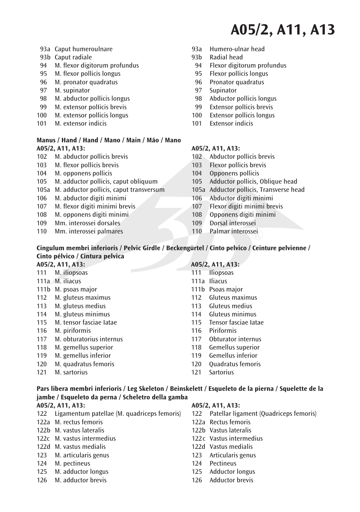- 93a Caput humeroulnare
- 93b Caput radiale
- 94 M. flexor digitorum profundus
- 95 M. flexor pollicis longus
- 96 M. pronator quadratus
- 97 M. supinator
- 98 M. abductor pollicis longus
- 99 M. extensor polIicis brevis
- 100 M. extensor pollicis longus
- 101 M. extensor indicis

#### **Manus / Hand / Hand / Mano / Main / Máo / Mano A05/2, A11, A13:**

- 102 M. abductor pollicis brevis
- 103 M. flexor pollicis brevis
- 104 M. opponens pollicis
- 105 M. adductor pollicis, caput obliquum
- 105a M. adductor pollicis, caput transversum
- 106 M. abductor digiti minimi
- 107 M. flexor digiti minimi brevis
- 108 M. opponens digiti minimi
- 109 Mm. interossei dorsales
- 110 Mm. interossei palmares
- 93a Humero-ulnar head
- 93b Radial head
- 94 Flexor digitorum profundus
- 95 Flexor pollicis longus
- 96 Pronator quadratus
- 97 Supinator
- 98 Abductor pollicis longus
- 99 Extensor polIicis brevis
- 100 Extensor pollicis longus
- 101 Extensor indicis

#### **A05/2, A11, A13:**

- 102 Abductor pollicis brevis
- 103 Flexor pollicis brevis
- 104 Opponens pollicis
- 105 Adductor pollicis, Oblique head
- 105a Adductor pollicis, Transverse head
- 106 Abductor digiti minimi
- 107 Flexor digiti minimi brevis
- 108 Opponens digiti minimi
- 109 Dorsal interossei<br>110 Palmar interosse
- 110 Palmar interossei

### **Cingulum membri inferioris / Pelvic Girdle / Beckengürtel / Cinto pelvico / Ceinture pelvienne / Cinto pélvico / Cintura pelvica**

| A05/2, A11, A13: |                          | A05/2, A11, A13: |                          |  |
|------------------|--------------------------|------------------|--------------------------|--|
| 111              | M. iliopsoas             | 111              | <b>Iliopsoas</b>         |  |
|                  | 111a M. iliacus          |                  | 111a Iliacus             |  |
|                  | 111b M. psoas major      |                  | 111b Psoas major         |  |
| 112              | M. gluteus maximus       | 112              | Gluteus maximus          |  |
| 113              | M. gluteus medius        | 113              | Gluteus medius           |  |
| 114              | M. gluteus minimus       | 114              | Gluteus minimus          |  |
| 115              | M. tensor fasciae latae  |                  | 115 Tensor fasciae latae |  |
| 116              | M. piriformis            | 116              | Piriformis               |  |
| 117              | M. obturatorius internus | 117              | Obturator internus       |  |
| 118              | M. gemellus superior     | 118              | Gemellus superior        |  |
| 119              | M. gemellus inferior     | 119              | Gemellus inferior        |  |
| 120              | M. quadratus femoris     | 120              | Quadratus femoris        |  |
| 121              | M. sartorius             | 121              | <b>Sartorius</b>         |  |

### **Pars libera membri inferioris / Leg Skeleton / Beinskelett / Esqueleto de la pierna / Squelette de la jambe / Esqueleto da perna / Scheletro della gamba**

### **A05/2, A11, A13:**

- 122 Ligamentum patellae (M. quadriceps femoris)
- 122a M. rectus femoris
- 122b M. vastus lateralis
- 122c M. vastus intermedius
- 122d M. vastus medialis
- 123 M. articularis genus
- 124 M. pectineus
- 125 M. adductor longus 126 M. adductor brevis

- 122 Patellar ligament (Quadriceps femoris)
- 122a Rectus femoris
- 122h Vastus lateralis
- 122<sub>C</sub> Vastus intermedius
- 122d Vastus medialis
- 123 Articularis genus
- 124 Pectineus
- 125 Adductor longus
- 126 Adductor brevis